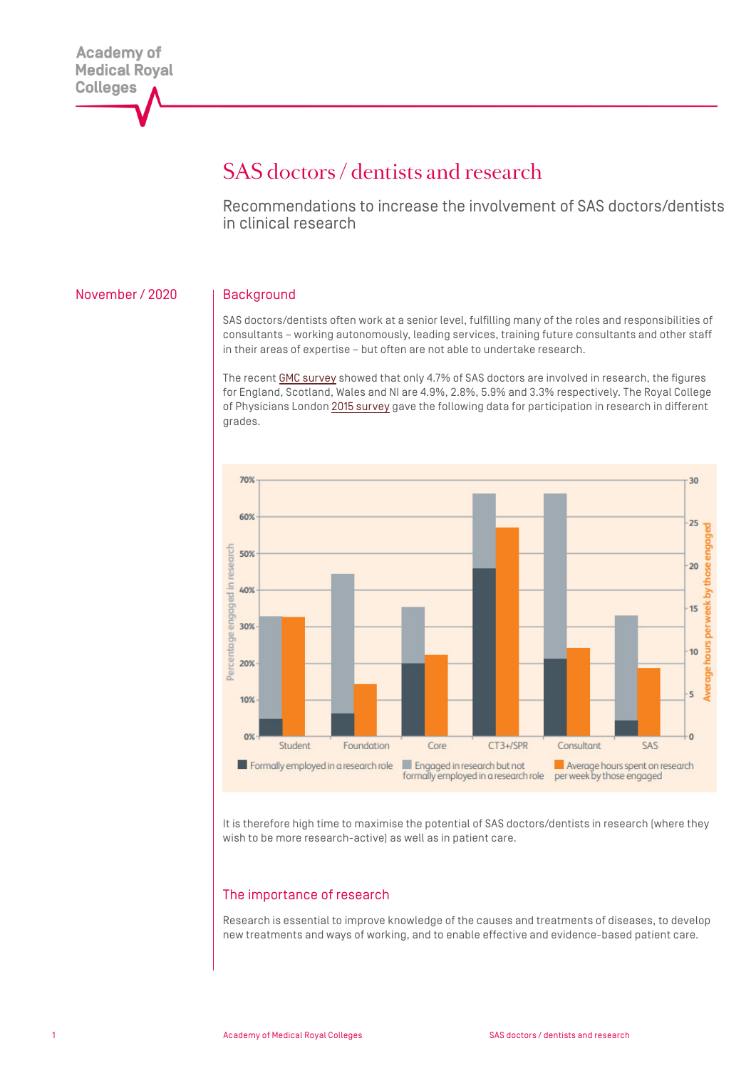# SAS doctors / dentists and research

Recommendations to increase the involvement of SAS doctors/dentists in clinical research

### November / 2020 | Background

SAS doctors/dentists often work at a senior level, fulfilling many of the roles and responsibilities of consultants – working autonomously, leading services, training future consultants and other staff in their areas of expertise – but often are not able to undertake research.

The recent [GMC survey](https://www.gmc-uk.org/education/standards-guidance-and-curricula/projects/survey-of-specialty-and-associate-specialist-and-locally-employed-doctors) showed that only 4.7% of SAS doctors are involved in research, the figures for England, Scotland, Wales and NI are 4.9%, 2.8%, 5.9% and 3.3% respectively. The Royal College of Physicians London [2015 survey](https://www.rcplondon.ac.uk/projects/outputs/research-all) gave the following data for participation in research in different grades.



It is therefore high time to maximise the potential of SAS doctors/dentists in research (where they wish to be more research-active) as well as in patient care.

### The importance of research

Research is essential to improve knowledge of the causes and treatments of diseases, to develop new treatments and ways of working, and to enable effective and evidence-based patient care.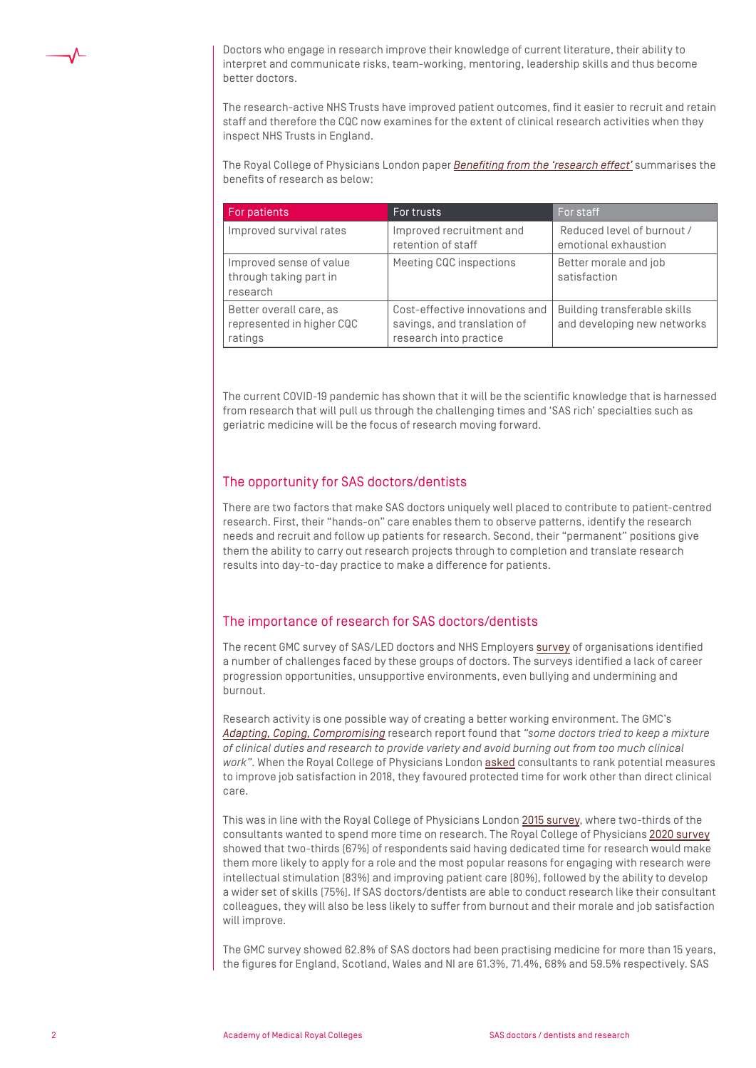

Doctors who engage in research improve their knowledge of current literature, their ability to interpret and communicate risks, team-working, mentoring, leadership skills and thus become better doctors.

The research-active NHS Trusts have improved patient outcomes, find it easier to recruit and retain staff and therefore the CQC now examines for the extent of clinical research activities when they inspect NHS Trusts in England.

The Royal College of Physicians London paper *[Benefiting from the 'research effect'](https://www.rcplondon.ac.uk/projects/outputs/research-all)* summarises the benefits of research as below:

| For patients                                                    | For trusts                                                                              | For staff                                                   |
|-----------------------------------------------------------------|-----------------------------------------------------------------------------------------|-------------------------------------------------------------|
| Improved survival rates                                         | Improved recruitment and<br>retention of staff                                          | Reduced level of burnout /<br>emotional exhaustion          |
| Improved sense of value<br>through taking part in<br>research   | Meeting CQC inspections                                                                 | Better morale and job<br>satisfaction                       |
| Better overall care, as<br>represented in higher CQC<br>ratings | Cost-effective innovations and<br>savings, and translation of<br>research into practice | Building transferable skills<br>and developing new networks |

The current COVID-19 pandemic has shown that it will be the scientific knowledge that is harnessed from research that will pull us through the challenging times and 'SAS rich' specialties such as geriatric medicine will be the focus of research moving forward.

## The opportunity for SAS doctors/dentists

There are two factors that make SAS doctors uniquely well placed to contribute to patient-centred research. First, their "hands-on" care enables them to observe patterns, identify the research needs and recruit and follow up patients for research. Second, their "permanent" positions give them the ability to carry out research projects through to completion and translate research results into day-to-day practice to make a difference for patients.

#### The importance of research for SAS doctors/dentists

The recent GMC survey of SAS/LED doctors and NHS Employers [survey](https://www.nhsemployers.org/case-studies-and-resources/2020/07/sas-survey-report) of organisations identified a number of challenges faced by these groups of doctors. The surveys identified a lack of career progression opportunities, unsupportive environments, even bullying and undermining and burnout.

Research activity is one possible way of creating a better working environment. The GMC's *[Adapting, Coping, Compromising](https://www.gmc-uk.org/-/media/documents/adapting-coping-compromising-research-report-79702793.pdf)* research report found that *"some doctors tried to keep a mixture of clinical duties and research to provide variety and avoid burning out from too much clinical work"*. When the Royal College of Physicians London [asked](https://www.rcplondon.ac.uk/news/understanding-wellbeing-consultant-physicians) consultants to rank potential measures to improve job satisfaction in 2018, they favoured protected time for work other than direct clinical care.

This was in line with the Royal College of Physicians London [2015 survey,](https://www.rcplondon.ac.uk/projects/outputs/research-all) where two-thirds of the consultants wanted to spend more time on research. The Royal College of Physicians [2020 survey](https://www.rcplondon.ac.uk/projects/outputs/research-all-analysis-clinical-participation-research) showed that two-thirds (67%) of respondents said having dedicated time for research would make them more likely to apply for a role and the most popular reasons for engaging with research were intellectual stimulation (83%) and improving patient care (80%), followed by the ability to develop a wider set of skills (75%). If SAS doctors/dentists are able to conduct research like their consultant colleagues, they will also be less likely to suffer from burnout and their morale and job satisfaction will improve.

The GMC survey showed 62.8% of SAS doctors had been practising medicine for more than 15 years, the figures for England, Scotland, Wales and NI are 61.3%, 71.4%, 68% and 59.5% respectively. SAS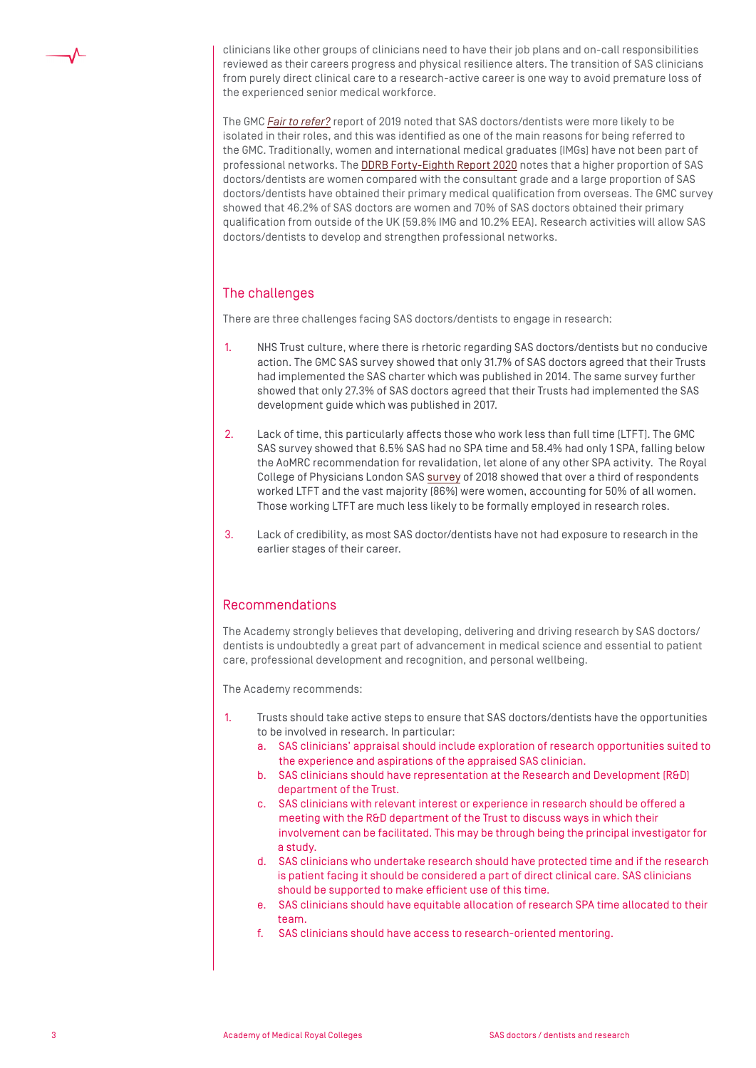

clinicians like other groups of clinicians need to have their job plans and on-call responsibilities reviewed as their careers progress and physical resilience alters. The transition of SAS clinicians from purely direct clinical care to a research-active career is one way to avoid premature loss of the experienced senior medical workforce.

The GMC *[Fair to refer?](https://www.gmc-uk.org/about/what-we-do-and-why/data-and-research/research-and-insight-archive/fair-to-refer)* report of 2019 noted that SAS doctors/dentists were more likely to be isolated in their roles, and this was identified as one of the main reasons for being referred to the GMC. Traditionally, women and international medical graduates (IMGs) have not been part of professional networks. The [DDRB Forty-Eighth Report 2020](https://www.gov.uk/government/publications/review-body-on-doctors-and-dentists-remuneration-48th-report-2020) notes that a higher proportion of SAS doctors/dentists are women compared with the consultant grade and a large proportion of SAS doctors/dentists have obtained their primary medical qualification from overseas. The GMC survey showed that 46.2% of SAS doctors are women and 70% of SAS doctors obtained their primary qualification from outside of the UK (59.8% IMG and 10.2% EEA). Research activities will allow SAS doctors/dentists to develop and strengthen professional networks.

# The challenges

There are three challenges facing SAS doctors/dentists to engage in research:

- 1. NHS Trust culture, where there is rhetoric regarding SAS doctors/dentists but no conducive action. The GMC SAS survey showed that only 31.7% of SAS doctors agreed that their Trusts had implemented the SAS charter which was published in 2014. The same survey further showed that only 27.3% of SAS doctors agreed that their Trusts had implemented the SAS development guide which was published in 2017.
- 2. Lack of time, this particularly affects those who work less than full time (LTFT). The GMC SAS survey showed that 6.5% SAS had no SPA time and 58.4% had only 1 SPA, falling below the AoMRC recommendation for revalidation, let alone of any other SPA activity. The Royal College of Physicians London SAS [survey](https://www.rcplondon.ac.uk/projects/outputs/sas-physicians-survey-2018) of 2018 showed that over a third of respondents worked LTFT and the vast majority (86%) were women, accounting for 50% of all women. Those working LTFT are much less likely to be formally employed in research roles.
- 3. Lack of credibility, as most SAS doctor/dentists have not had exposure to research in the earlier stages of their career.

#### Recommendations

The Academy strongly believes that developing, delivering and driving research by SAS doctors/ dentists is undoubtedly a great part of advancement in medical science and essential to patient care, professional development and recognition, and personal wellbeing.

The Academy recommends:

- 1. Trusts should take active steps to ensure that SAS doctors/dentists have the opportunities to be involved in research. In particular:
	- a. SAS clinicians' appraisal should include exploration of research opportunities suited to the experience and aspirations of the appraised SAS clinician.
	- b. SAS clinicians should have representation at the Research and Development (R&D) department of the Trust.
	- c. SAS clinicians with relevant interest or experience in research should be offered a meeting with the R&D department of the Trust to discuss ways in which their involvement can be facilitated. This may be through being the principal investigator for a study.
	- d. SAS clinicians who undertake research should have protected time and if the research is patient facing it should be considered a part of direct clinical care. SAS clinicians should be supported to make efficient use of this time.
	- e. SAS clinicians should have equitable allocation of research SPA time allocated to their team.
	- f. SAS clinicians should have access to research-oriented mentoring.